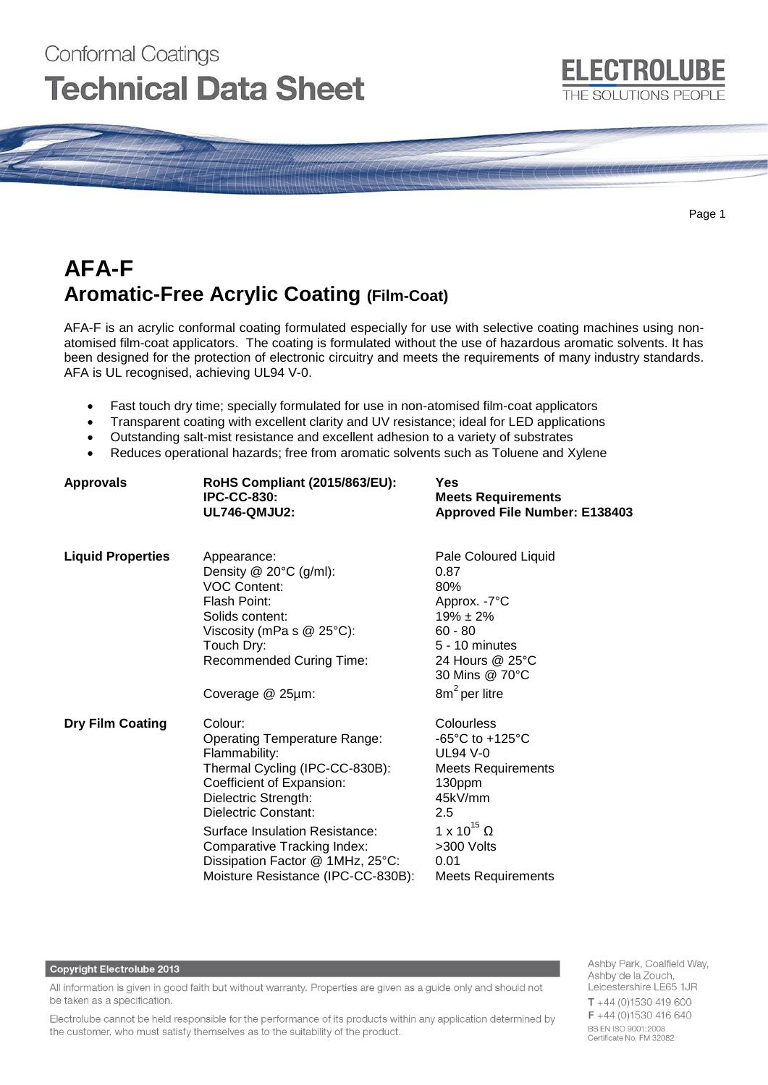# Conformal Coatings **Technical Data Sheet**

Page 1

**ELECTROLUBE** 

THE SOLUTIONS PEOPLE

# **AFA-F Aromatic-Free Acrylic Coating (Film-Coat)**

AFA-F is an acrylic conformal coating formulated especially for use with selective coating machines using nonatomised film-coat applicators. The coating is formulated without the use of hazardous aromatic solvents. It has been designed for the protection of electronic circuitry and meets the requirements of many industry standards. AFA is UL recognised, achieving UL94 V-0.

- Fast touch dry time; specially formulated for use in non-atomised film-coat applicators
- Transparent coating with excellent clarity and UV resistance; ideal for LED applications
- Outstanding salt-mist resistance and excellent adhesion to a variety of substrates
- Reduces operational hazards; free from aromatic solvents such as Toluene and Xylene

| <b>Approvals</b>         | <b>RoHS Compliant (2015/863/EU):</b><br><b>IPC-CC-830:</b><br><b>UL746-QMJU2:</b>                                                                                                                                                                                                                                         | Yes<br><b>Meets Requirements</b><br>Approved File Number: E138403                                                                                                                                            |
|--------------------------|---------------------------------------------------------------------------------------------------------------------------------------------------------------------------------------------------------------------------------------------------------------------------------------------------------------------------|--------------------------------------------------------------------------------------------------------------------------------------------------------------------------------------------------------------|
| <b>Liquid Properties</b> | Appearance:<br>Density $@$ 20 $°C$ (g/ml):<br><b>VOC Content:</b><br>Flash Point:<br>Solids content:<br>Viscosity (mPa s $@$ 25°C):<br>Touch Dry:<br><b>Recommended Curing Time:</b><br>Coverage @ 25µm:                                                                                                                  | Pale Coloured Liquid<br>0.87<br>80%<br>Approx. -7°C<br>$19\% \pm 2\%$<br>$60 - 80$<br>5 - 10 minutes<br>24 Hours @ 25°C<br>30 Mins @ 70°C<br>$8m2$ per litre                                                 |
| <b>Dry Film Coating</b>  | Colour:<br><b>Operating Temperature Range:</b><br>Flammability:<br>Thermal Cycling (IPC-CC-830B):<br>Coefficient of Expansion:<br>Dielectric Strength:<br>Dielectric Constant:<br>Surface Insulation Resistance:<br>Comparative Tracking Index:<br>Dissipation Factor @ 1MHz, 25°C:<br>Moisture Resistance (IPC-CC-830B): | Colourless<br>-65 $^{\circ}$ C to +125 $^{\circ}$ C<br><b>UL94 V-0</b><br><b>Meets Requirements</b><br>130ppm<br>45kV/mm<br>2.5<br>1 x 10 <sup>15</sup> Ω<br>>300 Volts<br>0.01<br><b>Meets Requirements</b> |

#### **Copyright Electrolube 2013**

All information is given in good faith but without warranty. Properties are given as a guide only and should not be taken as a specification.

Electrolube cannot be held responsible for the performance of its products within any application determined by the customer, who must satisfy themselves as to the suitability of the product.

Ashby Park, Coalfield Way, Ashby de la Zouch, Leicestershire LE65 1JR  $T + 44(0)1530419600$ F +44 (0)1530 416 640 BS EN ISO 9001:2008 Certificate No. FM 32082